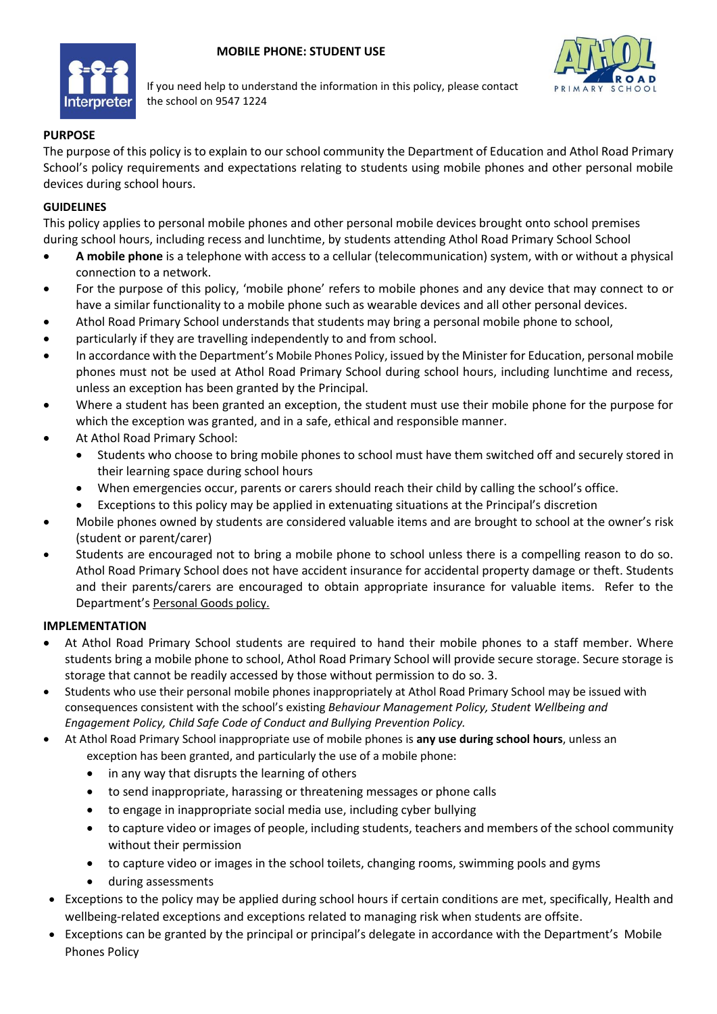



If you need help to understand the information in this policy, please contact the school on 9547 1224

# **PURPOSE**

The purpose of this policy is to explain to our school community the Department of Education and Athol Road Primary School's policy requirements and expectations relating to students using mobile phones and other personal mobile devices during school hours.

#### **GUIDELINES**

This policy applies to personal mobile phones and other personal mobile devices brought onto school premises during school hours, including recess and lunchtime, by students attending Athol Road Primary School School

- **A mobile phone** is a telephone with access to a cellular (telecommunication) system, with or without a physical connection to a network.
- For the purpose of this policy, 'mobile phone' refers to mobile phones and any device that may connect to or have a similar functionality to a mobile phone such as wearable devices and all other personal devices.
- Athol Road Primary School understands that students may bring a personal mobile phone to school,
- particularly if they are travelling independently to and from school.
- In accordance with the Department's [Mobile Phones Policy,](https://www.education.vic.gov.au/school/principals/spag/safety/Pages/mobilephones.aspx) issued by the Minister for Education, personal mobile phones must not be used at Athol Road Primary School during school hours, including lunchtime and recess, unless an exception has been granted by the Principal.
- Where a student has been granted an exception, the student must use their mobile phone for the purpose for which the exception was granted, and in a safe, ethical and responsible manner.
- At Athol Road Primary School:
	- Students who choose to bring mobile phones to school must have them switched off and securely stored in their learning space during school hours
	- When emergencies occur, parents or carers should reach their child by calling the school's office.
	- Exceptions to this policy may be applied in extenuating situations at the Principal's discretion
- Mobile phones owned by students are considered valuable items and are brought to school at the owner's risk (student or parent/carer)
- Students are encouraged not to bring a mobile phone to school unless there is a compelling reason to do so. Athol Road Primary School does not have accident insurance for accidental property damage or theft. Students and their parents/carers are encouraged to obtain appropriate insurance for valuable items. Refer to the Department's [Personal Goods](https://www.education.vic.gov.au/school/principals/spag/governance/pages/personalgoods.aspx) policy.

## **IMPLEMENTATION**

- At Athol Road Primary School students are required to hand their mobile phones to a staff member. Where students bring a mobile phone to school, Athol Road Primary School will provide secure storage. Secure storage is storage that cannot be readily accessed by those without permission to do so. 3.
- Students who use their personal mobile phones inappropriately at Athol Road Primary School may be issued with consequences consistent with the school's existing *Behaviour Management Policy, Student Wellbeing and Engagement Policy, Child Safe Code of Conduct and Bullying Prevention Policy.*
- At Athol Road Primary School inappropriate use of mobile phones is **any use during school hours**, unless an exception has been granted, and particularly the use of a mobile phone:
	- in any way that disrupts the learning of others
	- to send inappropriate, harassing or threatening messages or phone calls
	- to engage in inappropriate social media use, including cyber bullying
	- to capture video or images of people, including students, teachers and members of the school community without their permission
	- to capture video or images in the school toilets, changing rooms, swimming pools and gyms
	- during assessments
- Exceptions to the policy may be applied during school hours if certain conditions are met, specifically, Health and wellbeing-related exceptions and exceptions related to managing risk when students are offsite.
- Exceptions can be granted by the principal or principal's delegate in accordance with the Department's Mobile Phones Policy